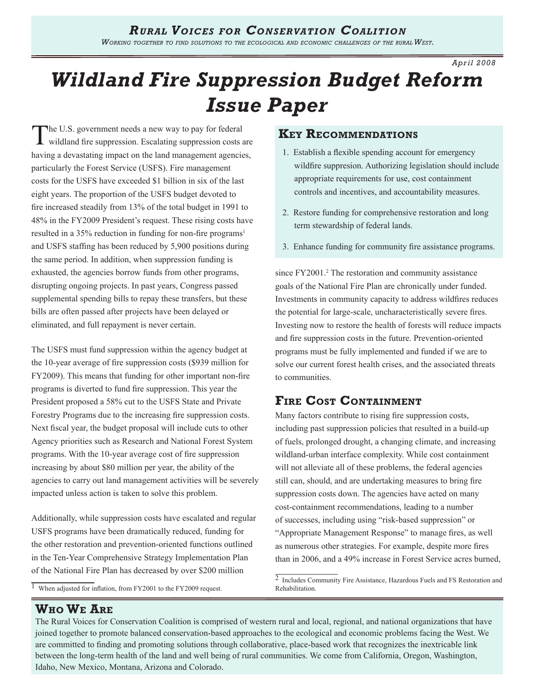*Apr il 2008*

# *Wildland Fire Suppression Budget Reform Issue Paper*

The U.S. government needs a new way to pay for federal wildland fire suppression. Escalating suppression costs are having a devastating impact on the land management agencies, particularly the Forest Service (USFS). Fire management costs for the USFS have exceeded \$1 billion in six of the last eight years. The proportion of the USFS budget devoted to fire increased steadily from 13% of the total budget in 1991 to 48% in the FY2009 President's request. These rising costs have resulted in a 35% reduction in funding for non-fire programs and USFS staffing has been reduced by 5,900 positions during the same period. In addition, when suppression funding is exhausted, the agencies borrow funds from other programs, disrupting ongoing projects. In past years, Congress passed supplemental spending bills to repay these transfers, but these bills are often passed after projects have been delayed or eliminated, and full repayment is never certain.

The USFS must fund suppression within the agency budget at the 10-year average of fire suppression costs (\$939 million for FY2009). This means that funding for other important non-fire programs is diverted to fund fire suppression. This year the President proposed a 58% cut to the USFS State and Private Forestry Programs due to the increasing fire suppression costs. Next fiscal year, the budget proposal will include cuts to other Agency priorities such as Research and National Forest System programs. With the 10-year average cost of fire suppression increasing by about \$80 million per year, the ability of the agencies to carry out land management activities will be severely impacted unless action is taken to solve this problem.

Additionally, while suppression costs have escalated and regular USFS programs have been dramatically reduced, funding for the other restoration and prevention-oriented functions outlined in the Ten-Year Comprehensive Strategy Implementation Plan of the National Fire Plan has decreased by over \$200 million

 $\overline{1}$  When adjusted for inflation, from FY2001 to the FY2009 request.

# **Key Recommendations**

- 1. Establish a flexible spending account for emergency wildfire suppresion. Authorizing legislation should include appropriate requirements for use, cost containment controls and incentives, and accountability measures.
- 2. Restore funding for comprehensive restoration and long term stewardship of federal lands.
- 3. Enhance funding for community fire assistance programs.

since FY2001.<sup>2</sup> The restoration and community assistance goals of the National Fire Plan are chronically under funded. Investments in community capacity to address wildfires reduces the potential for large-scale, uncharacteristically severe fires. Investing now to restore the health of forests will reduce impacts and fire suppression costs in the future. Prevention-oriented programs must be fully implemented and funded if we are to solve our current forest health crises, and the associated threats to communities.

# **Fire Cost Containment**

Many factors contribute to rising fire suppression costs, including past suppression policies that resulted in a build-up of fuels, prolonged drought, a changing climate, and increasing wildland-urban interface complexity. While cost containment will not alleviate all of these problems, the federal agencies still can, should, and are undertaking measures to bring fire suppression costs down. The agencies have acted on many cost-containment recommendations, leading to a number of successes, including using "risk-based suppression" or "Appropriate Management Response" to manage fires, as well as numerous other strategies. For example, despite more fires than in 2006, and a 49% increase in Forest Service acres burned,

# **Who We Are**

The Rural Voices for Conservation Coalition is comprised of western rural and local, regional, and national organizations that have joined together to promote balanced conservation-based approaches to the ecological and economic problems facing the West. We are committed to finding and promoting solutions through collaborative, place-based work that recognizes the inextricable link between the long-term health of the land and well being of rural communities. We come from California, Oregon, Washington, Idaho, New Mexico, Montana, Arizona and Colorado.

<sup>&</sup>lt;sup>2</sup> Includes Community Fire Assistance, Hazardous Fuels and FS Restoration and Rehabilitation.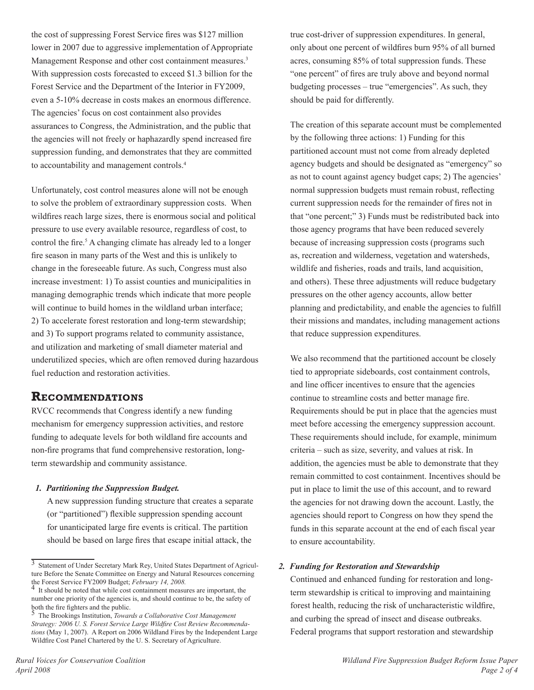the cost of suppressing Forest Service fires was \$127 million lower in 2007 due to aggressive implementation of Appropriate Management Response and other cost containment measures. With suppression costs forecasted to exceed \$1.3 billion for the Forest Service and the Department of the Interior in FY2009, even a 5-10% decrease in costs makes an enormous difference. The agencies' focus on cost containment also provides assurances to Congress, the Administration, and the public that the agencies will not freely or haphazardly spend increased fire suppression funding, and demonstrates that they are committed to accountability and management controls.

Unfortunately, cost control measures alone will not be enough to solve the problem of extraordinary suppression costs. When wildfires reach large sizes, there is enormous social and political pressure to use every available resource, regardless of cost, to control the fire.<sup>5</sup> A changing climate has already led to a longer fire season in many parts of the West and this is unlikely to change in the foreseeable future. As such, Congress must also increase investment: 1) To assist counties and municipalities in managing demographic trends which indicate that more people will continue to build homes in the wildland urban interface; 2) To accelerate forest restoration and long-term stewardship; and 3) To support programs related to community assistance, and utilization and marketing of small diameter material and underutilized species, which are often removed during hazardous fuel reduction and restoration activities.

### **Recommendations**

RVCC recommends that Congress identify a new funding mechanism for emergency suppression activities, and restore funding to adequate levels for both wildland fire accounts and non-fire programs that fund comprehensive restoration, longterm stewardship and community assistance.

### *1. Partitioning the Suppression Budget.*

A new suppression funding structure that creates a separate (or "partitioned") flexible suppression spending account for unanticipated large fire events is critical. The partition should be based on large fires that escape initial attack, the

true cost-driver of suppression expenditures. In general, only about one percent of wildfires burn 95% of all burned acres, consuming 85% of total suppression funds. These "one percent" of fires are truly above and beyond normal budgeting processes – true "emergencies". As such, they should be paid for differently.

The creation of this separate account must be complemented by the following three actions: 1) Funding for this partitioned account must not come from already depleted agency budgets and should be designated as "emergency" so as not to count against agency budget caps; 2) The agencies' normal suppression budgets must remain robust, reflecting current suppression needs for the remainder of fires not in that "one percent;" 3) Funds must be redistributed back into those agency programs that have been reduced severely because of increasing suppression costs (programs such as, recreation and wilderness, vegetation and watersheds, wildlife and fisheries, roads and trails, land acquisition, and others). These three adjustments will reduce budgetary pressures on the other agency accounts, allow better planning and predictability, and enable the agencies to fulfill their missions and mandates, including management actions that reduce suppression expenditures.

We also recommend that the partitioned account be closely tied to appropriate sideboards, cost containment controls, and line officer incentives to ensure that the agencies continue to streamline costs and better manage fire. Requirements should be put in place that the agencies must meet before accessing the emergency suppression account. These requirements should include, for example, minimum criteria – such as size, severity, and values at risk. In addition, the agencies must be able to demonstrate that they remain committed to cost containment. Incentives should be put in place to limit the use of this account, and to reward the agencies for not drawing down the account. Lastly, the agencies should report to Congress on how they spend the funds in this separate account at the end of each fiscal year to ensure accountability.

### *2. Funding for Restoration and Stewardship*

Continued and enhanced funding for restoration and longterm stewardship is critical to improving and maintaining forest health, reducing the risk of uncharacteristic wildfire, and curbing the spread of insect and disease outbreaks. Federal programs that support restoration and stewardship

<sup>3</sup> Statement of Under Secretary Mark Rey, United States Department of Agriculture Before the Senate Committee on Energy and Natural Resources concerning<br>the Forest Service FY2009 Budget: February 14, 2008.

<sup>&</sup>lt;sup>4</sup> It should be noted that while cost containment measures are important, the number one priority of the agencies is, and should continue to be, the safety of both the fire fighters and the public.

The Brookings Institution, *Towards a Collaborative Cost Management Strategy: 2006 U. S. Forest Service Large Wildfire Cost Review Recommendations* (May 1, 2007). A Report on 2006 Wildland Fires by the Independent Large Wildfire Cost Panel Chartered by the U. S. Secretary of Agriculture.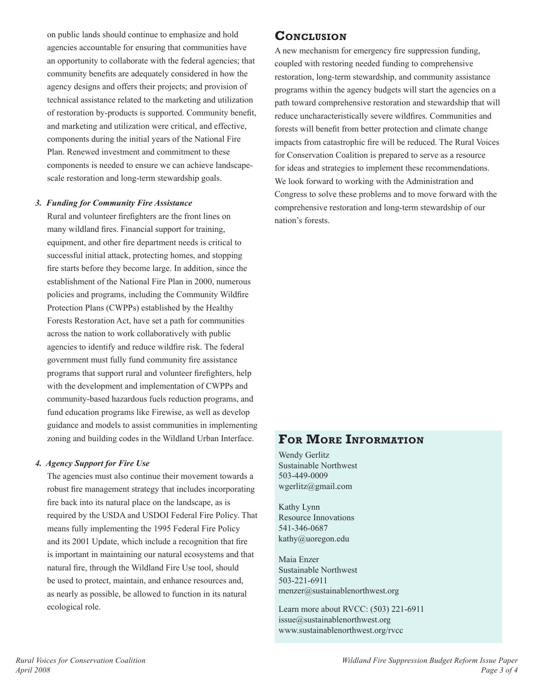on public lands should continue to emphasize and hold agencies accountable for ensuring that communities have an opportunity to collaborate with the federal agencies; that community benefits are adequately considered in how the agency designs and offers their projects; and provision of technical assistance related to the marketing and utilization of restoration by-products is supported. Community benefit, and marketing and utilization were critical, and effective, components during the initial years of the National Fire Plan. Renewed investment and commitment to these components is needed to ensure we can achieve landscapescale restoration and long-term stewardship goals.

### *3. Funding for Community Fire Assistance*

Rural and volunteer firefighters are the front lines on many wildland fires. Financial support for training, equipment, and other fire department needs is critical to successful initial attack, protecting homes, and stopping fire starts before they become large. In addition, since the establishment of the National Fire Plan in 2000, numerous policies and programs, including the Community Wildfire Protection Plans (CWPPs) established by the Healthy Forests Restoration Act, have set a path for communities across the nation to work collaboratively with public agencies to identify and reduce wildfire risk. The federal government must fully fund community fire assistance programs that support rural and volunteer firefighters, help with the development and implementation of CWPPs and community-based hazardous fuels reduction programs, and fund education programs like Firewise, as well as develop guidance and models to assist communities in implementing zoning and building codes in the Wildland Urban Interface.

### *4. Agency Support for Fire Use*

The agencies must also continue their movement towards a robust fire management strategy that includes incorporating fire back into its natural place on the landscape, as is required by the USDA and USDOI Federal Fire Policy. That means fully implementing the 1995 Federal Fire Policy and its 2001 Update, which include a recognition that fire is important in maintaining our natural ecosystems and that natural fire, through the Wildland Fire Use tool, should be used to protect, maintain, and enhance resources and, as nearly as possible, be allowed to function in its natural ecological role.

# **Conclusion**

A new mechanism for emergency fire suppression funding, coupled with restoring needed funding to comprehensive restoration, long-term stewardship, and community assistance programs within the agency budgets will start the agencies on a path toward comprehensive restoration and stewardship that will reduce uncharacteristically severe wildfires. Communities and forests will benefit from better protection and climate change impacts from catastrophic fire will be reduced. The Rural Voices for Conservation Coalition is prepared to serve as a resource for ideas and strategies to implement these recommendations. We look forward to working with the Administration and Congress to solve these problems and to move forward with the comprehensive restoration and long-term stewardship of our nation's forests.

# **For More Information**

Wendy Gerlitz Sustainable Northwest 503-449-0009 wgerlitz@gmail.com

Kathy Lynn Resource Innovations 541-346-0687 kathy@uoregon.edu

Maia Enzer Sustainable Northwest 503-221-6911 menzer@sustainablenorthwest.org

Learn more about RVCC: (503) 221-6911  $is sue@sustainable northwest.org$ www.sustainablenorthwest.org/rvcc